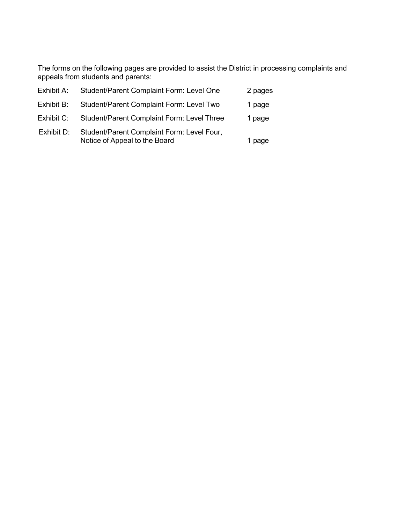The forms on the following pages are provided to assist the District in processing complaints and appeals from students and parents:

| Exhibit A: | Student/Parent Complaint Form: Level One                                    | 2 pages |
|------------|-----------------------------------------------------------------------------|---------|
| Exhibit B: | <b>Student/Parent Complaint Form: Level Two</b>                             | 1 page  |
| Exhibit C: | Student/Parent Complaint Form: Level Three                                  | 1 page  |
| Exhibit D: | Student/Parent Complaint Form: Level Four,<br>Notice of Appeal to the Board | 1 page  |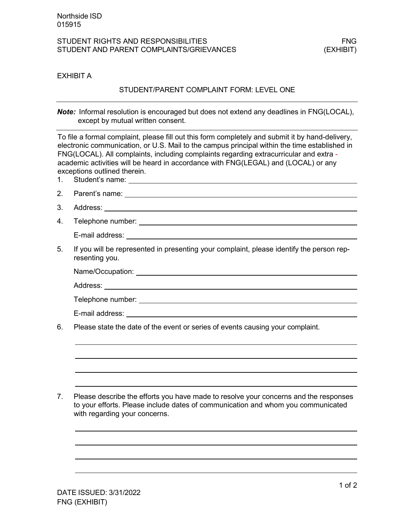### EXHIBIT A

# STUDENT/PARENT COMPLAINT FORM: LEVEL ONE

*Note:* Informal resolution is encouraged but does not extend any deadlines in FNG(LOCAL), except by mutual written consent.

To file a formal complaint, please fill out this form completely and submit it by hand-delivery, electronic communication, or U.S. Mail to the campus principal within the time established in FNG(LOCAL). All complaints, including complaints regarding extracurricular and extra academic activities will be heard in accordance with FNG(LEGAL) and (LOCAL) or any exceptions outlined therein.

- 1. Student's name:
- 2. Parent's name:
- 3. Address:
- 4. Telephone number:

E-mail address:

5. If you will be represented in presenting your complaint, please identify the person representing you.

Name/Occupation: We have a set of the set of the set of the set of the set of the set of the set of the set of the set of the set of the set of the set of the set of the set of the set of the set of the set of the set of t

Address:

Telephone number: **The Contract of the Contract of the Contract of the Contract of the Contract of the Contract of the Contract of the Contract of the Contract of the Contract of the Contract of the Contract of the Contrac** 

E-mail address:

6. Please state the date of the event or series of events causing your complaint.

7. Please describe the efforts you have made to resolve your concerns and the responses to your efforts. Please include dates of communication and whom you communicated with regarding your concerns.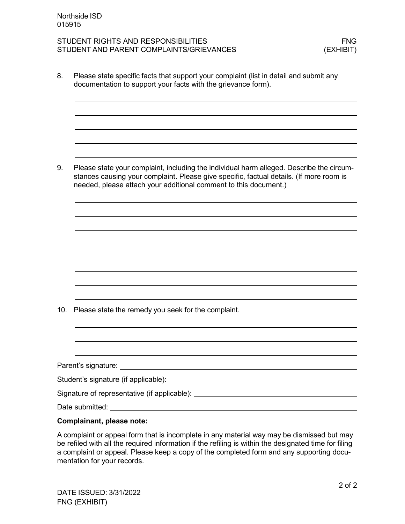8. Please state specific facts that support your complaint (list in detail and submit any documentation to support your facts with the grievance form).

9. Please state your complaint, including the individual harm alleged. Describe the circumstances causing your complaint. Please give specific, factual details. (If more room is needed, please attach your additional comment to this document.)

10. Please state the remedy you seek for the complaint.

Parent's signature:

Student's signature (if applicable):

Signature of representative (if applicable): \_\_\_\_\_\_\_\_\_\_\_\_\_\_\_\_\_\_\_\_\_\_\_\_\_\_\_\_\_\_\_\_\_\_\_

Date submitted:

#### **Complainant, please note:**

A complaint or appeal form that is incomplete in any material way may be dismissed but may be refiled with all the required information if the refiling is within the designated time for filing a complaint or appeal. Please keep a copy of the completed form and any supporting documentation for your records.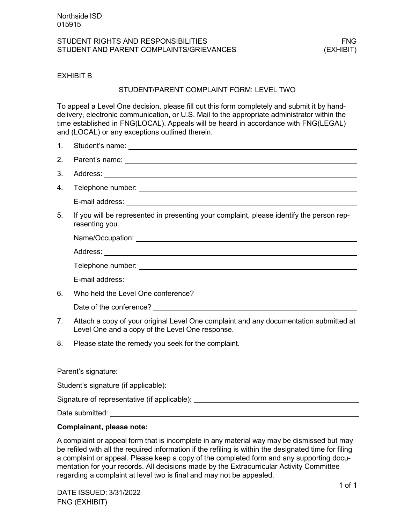# EXHIBIT B

#### STUDENT/PARENT COMPLAINT FORM: LEVEL TWO

To appeal a Level One decision, please fill out this form completely and submit it by handdelivery, electronic communication, or U.S. Mail to the appropriate administrator within the time established in FNG(LOCAL). Appeals will be heard in accordance with FNG(LEGAL) and (LOCAL) or any exceptions outlined therein.

- 1. Student's name:
- 2. Parent's name:
- 3. Address:
- 4. Telephone number:

E-mail address:

5. If you will be represented in presenting your complaint, please identify the person representing you.

Name/Occupation:

E-mail address:

6. Who held the Level One conference?

Date of the conference?

- 7. Attach a copy of your original Level One complaint and any documentation submitted at Level One and a copy of the Level One response.
- 8. Please state the remedy you seek for the complaint.

Parent's signature: Student's signature (if applicable): Signature of representative (if applicable): \_\_\_\_\_\_\_\_\_\_\_\_\_\_\_\_\_\_\_\_\_\_\_\_\_\_\_\_\_\_\_\_\_\_\_ Date submitted:

#### **Complainant, please note:**

A complaint or appeal form that is incomplete in any material way may be dismissed but may be refiled with all the required information if the refiling is within the designated time for filing a complaint or appeal. Please keep a copy of the completed form and any supporting documentation for your records. All decisions made by the Extracurricular Activity Committee regarding a complaint at level two is final and may not be appealed.

DATE ISSUED: 3/31/2022 FNG (EXHIBIT)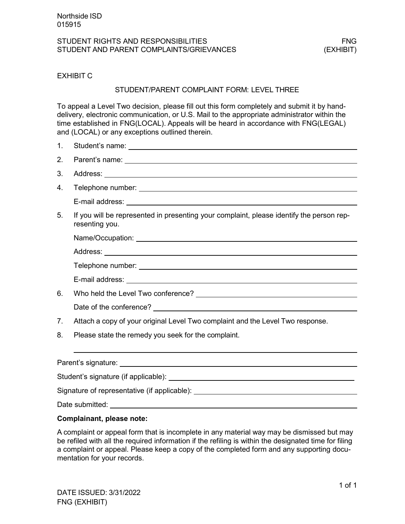# EXHIBIT C

#### STUDENT/PARENT COMPLAINT FORM: LEVEL THREE

To appeal a Level Two decision, please fill out this form completely and submit it by handdelivery, electronic communication, or U.S. Mail to the appropriate administrator within the time established in FNG(LOCAL). Appeals will be heard in accordance with FNG(LEGAL) and (LOCAL) or any exceptions outlined therein.

| 1. |                                                                                                                                                                                                                                      |
|----|--------------------------------------------------------------------------------------------------------------------------------------------------------------------------------------------------------------------------------------|
| 2. | Parent's name: <u>example and a series of the series of the series of the series of the series of the series of the series of the series of the series of the series of the series of the series of the series of the series of </u> |
| 3. |                                                                                                                                                                                                                                      |
| 4. |                                                                                                                                                                                                                                      |
|    |                                                                                                                                                                                                                                      |
| 5. | If you will be represented in presenting your complaint, please identify the person rep-<br>resenting you.                                                                                                                           |
|    |                                                                                                                                                                                                                                      |
|    |                                                                                                                                                                                                                                      |
|    |                                                                                                                                                                                                                                      |
|    |                                                                                                                                                                                                                                      |
| 6. |                                                                                                                                                                                                                                      |
|    |                                                                                                                                                                                                                                      |
| 7. | Attach a copy of your original Level Two complaint and the Level Two response.                                                                                                                                                       |
| 8. | Please state the remedy you seek for the complaint.                                                                                                                                                                                  |

| Parent's signature: <u>_______________</u>                                       |  |
|----------------------------------------------------------------------------------|--|
|                                                                                  |  |
| Signature of representative (if applicable): ___________________________________ |  |
| Date submitted: <b>Example 2019</b>                                              |  |
|                                                                                  |  |

# **Complainant, please note:**

A complaint or appeal form that is incomplete in any material way may be dismissed but may be refiled with all the required information if the refiling is within the designated time for filing a complaint or appeal. Please keep a copy of the completed form and any supporting documentation for your records.